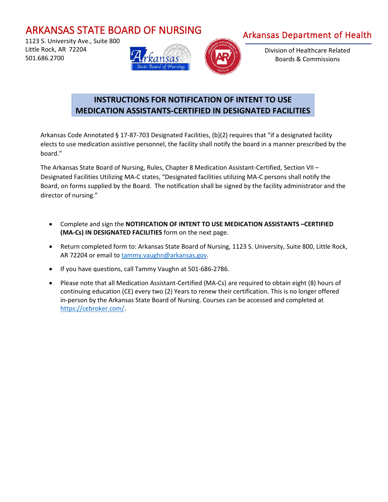## ARKANSAS STATE BOARD OF NURSING

 1123 S. University Ave., Suite 800 Little Rock, AR 72204 501.686.2700





Arkansas Department of Health

Division of Healthcare Related Boards & Commissions

## **INSTRUCTIONS FOR NOTIFICATION OF INTENT TO USE MEDICATION ASSISTANTS-CERTIFIED IN DESIGNATED FACILITIES**

Arkansas Code Annotated § 17-87-703 Designated Facilities, (b)(2) requires that "if a designated facility elects to use medication assistive personnel, the facility shall notify the board in a manner prescribed by the board."

The Arkansas State Board of Nursing, Rules, Chapter 8 Medication Assistant-Certified, Section VII – Designated Facilities Utilizing MA-C states, "Designated facilities utilizing MA-C persons shall notify the Board, on forms supplied by the Board. The notification shall be signed by the facility administrator and the director of nursing."

- Complete and sign the **NOTIFICATION OF INTENT TO USE MEDICATION ASSISTANTS –CERTIFIED (MA-Cs) IN DESIGNATED FACILITIES** form on the next page.
- Return completed form to: Arkansas State Board of Nursing, 1123 S. University, Suite 800, Little Rock, AR 72204 or email t[o tammy.vaughn@arkansas.gov.](mailto:tammy.vaughn@arkansas.gov)
- If you have questions, call Tammy Vaughn at 501-686-2786.
- Please note that all Medication Assistant-Certified (MA-Cs) are required to obtain eight (8) hours of continuing education (CE) every two (2) Years to renew their certification. This is no longer offered in-person by the Arkansas State Board of Nursing. Courses can be accessed and completed at [https://cebroker.com/.](https://cebroker.com/)